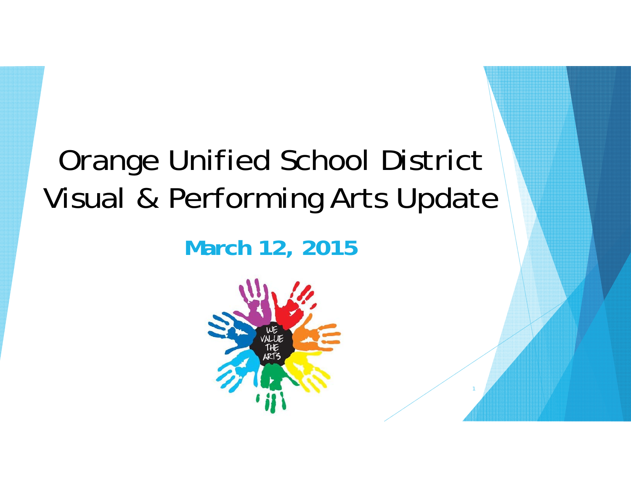# Orange Unified School District Visual & Performing Arts Update

**March 12, 2015**

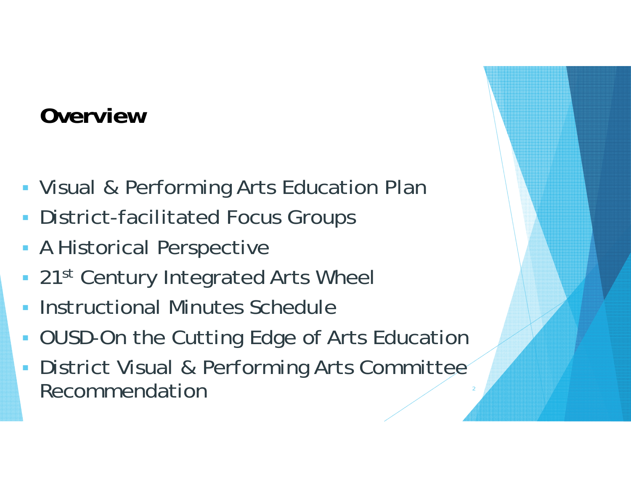## **Overview**

- Visual & Performing Arts Education Plan
- **District-facilitated Focus Groups**
- A Historical Perspective
- 21st Century Integrated Arts Wheel
- **Instructional Minutes Schedule**
- **DUSD-On the Cutting Edge of Arts Education**
- District Visual & Performing Arts Committee Recommendation $\mathsf{D}$  and  $\mathsf{D}$  and  $\mathsf{D}$  and  $\mathsf{D}$  and  $\mathsf{D}$  and  $\mathsf{D}$  and  $\mathsf{D}$  and  $\mathsf{D}$  and  $\mathsf{D}$  and  $\mathsf{D}$  and  $\mathsf{D}$  and  $\mathsf{D}$  and  $\mathsf{D}$  and  $\mathsf{D}$  and  $\mathsf{D}$  and  $\mathsf{D}$  and  $\mathsf{D}$  and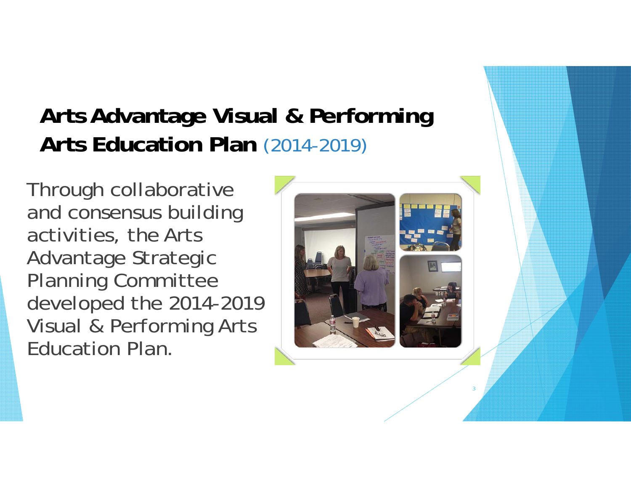## **Arts Advantage Visual & Performing Arts Education Plan** (2014-2019)

Through collaborative and consensus building activities, the Arts Advantage Strategic Planning Committee developed the 2014-2019 Visual & Performing Arts Education Plan.

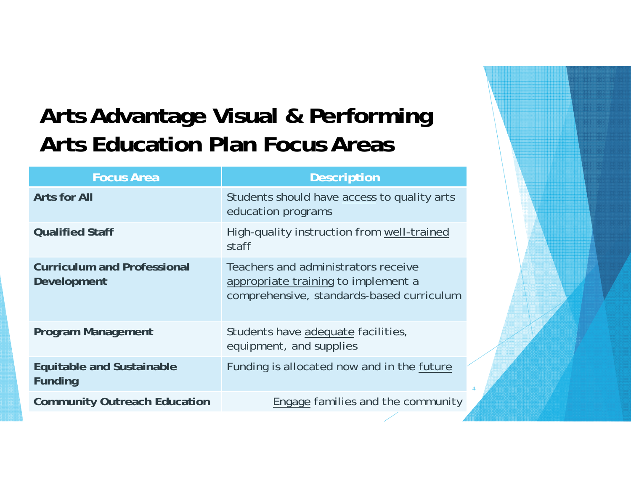## **Arts Advantage Visual & Performing Arts Education Plan Focus Areas**

| <b>Focus Area</b>                                  | <b>Description</b>                                                                                                      |
|----------------------------------------------------|-------------------------------------------------------------------------------------------------------------------------|
| <b>Arts for All</b>                                | Students should have access to quality arts<br>education programs                                                       |
| <b>Qualified Staff</b>                             | High-quality instruction from well-trained<br>staff                                                                     |
| <b>Curriculum and Professional</b><br>Development  | Teachers and administrators receive<br>appropriate training to implement a<br>comprehensive, standards-based curriculum |
| <b>Program Management</b>                          | Students have adequate facilities,<br>equipment, and supplies                                                           |
| <b>Equitable and Sustainable</b><br><b>Funding</b> | Funding is allocated now and in the future                                                                              |
| <b>Community Outreach Education</b>                | Engage families and the community                                                                                       |

4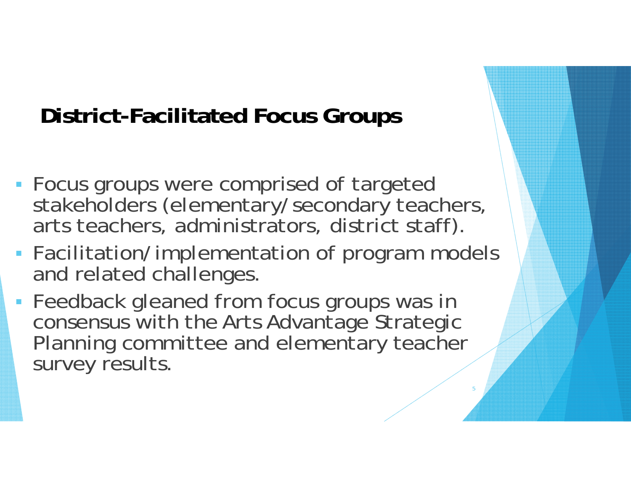## **District-Facilitated Focus Groups**

- Focus groups were comprised of targeted stakeholders (elementary/secondary teachers, arts teachers, administrators, district staff).
- Facilitation/implementation of program models and related challenges.

5

**Feedback gleaned from focus groups was in** consensus with the Arts Advantage Strategic Planning committee and elementary teacher survey results.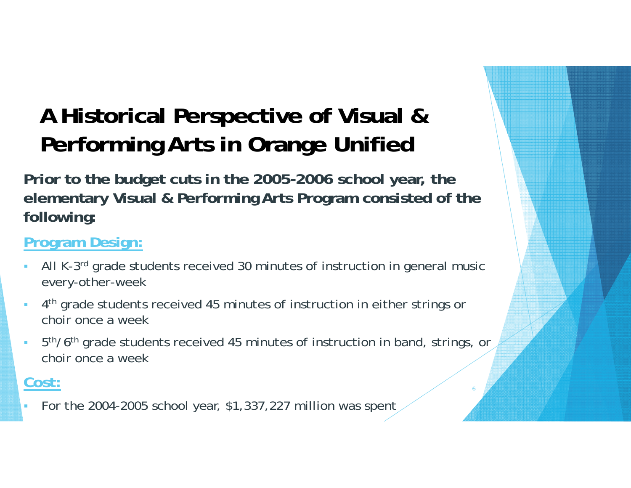## **A Historical Perspective of Visual & Performing Arts in Orange Unified**

**Prior to the budget cuts in the 2005-2006 school year, the elementary Visual & Performing Arts Program consisted of the following:**

#### **Program Design:**

- г All K-3rd grade students received 30 minutes of instruction in general music every-other-week
- 4th grade students received 45 minutes of instruction in either strings or choir once a week
- 5th/6th grade students received 45 minutes of instruction in band, strings, or choir once a week

6

#### **Cost:**

г For the 2004-2005 school year, \$1,337,227 million was spent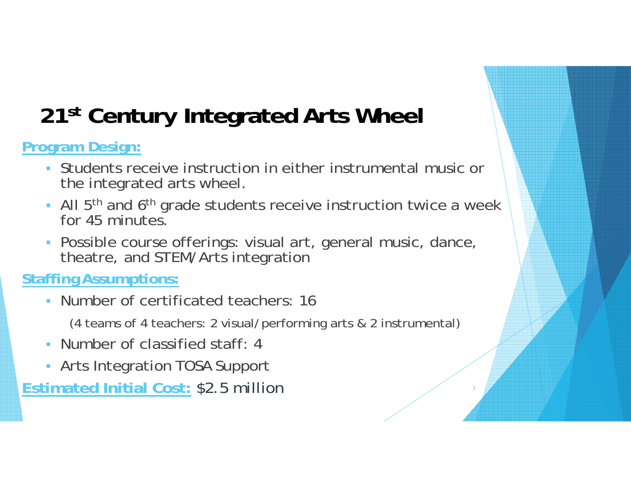## **21st Century Integrated Arts Wheel**

**Program Design:** 

- Students receive instruction in either instrumental music or the integrated arts wheel.
- All 5<sup>th</sup> and 6<sup>th</sup> grade students receive instruction twice a week for 45 minutes
- Possible course offerings: visual art, general music, dance, theatre, and STEM/Arts integration

#### **Staffing Assumptions:**

Number of certificated teachers: 16

(4 teams of 4 teachers: 2 visual/performing arts & 2 instrumental)

- Number of classified staff: 4
- Arts Integration TOSA Support

**Estimated Initial Cost:** \$2.5 million <sup>7</sup>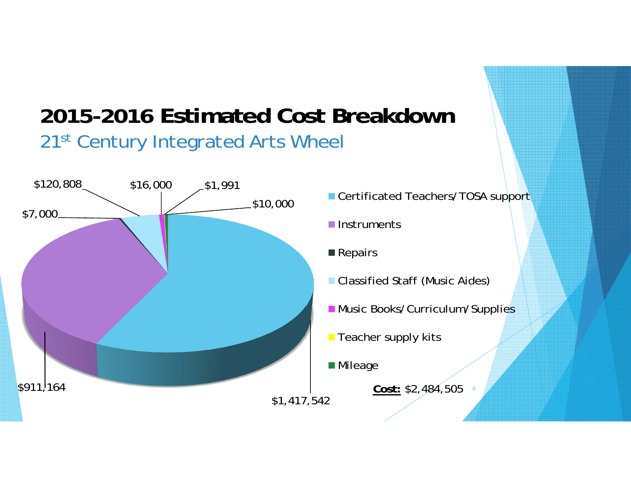### **2015-2016 Estimated Cost Breakdown**21st Century Integrated Arts Wheel

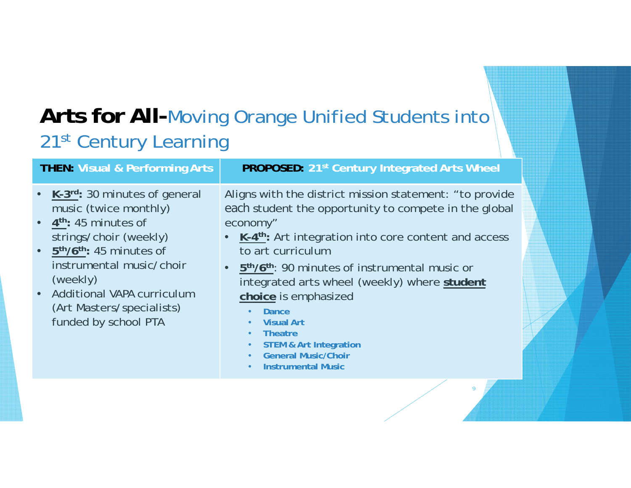### **Arts for All-**Moving Orange Unified Students into 21st Century Learning

| <b>THEN: Visual &amp; Performing Arts</b>                                                                                                                                                                                                                                                                                       | <b>PROPOSED:</b> 21 <sup>st</sup> Century Integrated Arts Wheel                                                                                                                                                                                                                                                                                                                                                                                                                                                                    |
|---------------------------------------------------------------------------------------------------------------------------------------------------------------------------------------------------------------------------------------------------------------------------------------------------------------------------------|------------------------------------------------------------------------------------------------------------------------------------------------------------------------------------------------------------------------------------------------------------------------------------------------------------------------------------------------------------------------------------------------------------------------------------------------------------------------------------------------------------------------------------|
| • $K-3^{rd}$ : 30 minutes of general<br>music (twice monthly)<br>$\bullet$ 4 <sup>th</sup> : 45 minutes of<br>strings/choir (weekly)<br>$\bullet$ 5 <sup>th</sup> /6 <sup>th</sup> : 45 minutes of<br>instrumental music/choir<br>(weekly)<br>• Additional VAPA curriculum<br>(Art Masters/specialists)<br>funded by school PTA | Aligns with the district mission statement: "to provide<br>each student the opportunity to compete in the global<br>economy"<br>• K-4 <sup>th</sup> : Art integration into core content and access<br>to art curriculum<br>• 5 <sup>th</sup> /6 <sup>th</sup> : 90 minutes of instrumental music or<br>integrated arts wheel (weekly) where student<br>choice is emphasized<br><b>Dance</b><br><b>Visual Art</b><br><b>Theatre</b><br><b>STEM &amp; Art Integration</b><br><b>General Music/Choir</b><br><b>Instrumental Music</b> |

9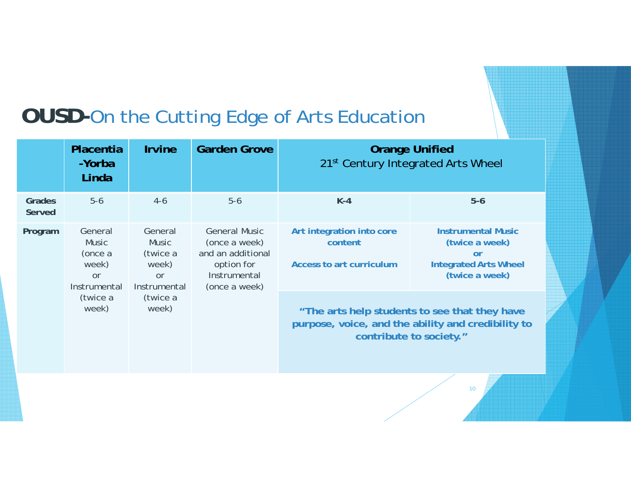### **OUSD-**On the Cutting Edge of Arts Education

|                  | Placentia<br>-Yorba<br>Linda                                                                                                                                                             | <b>Irvine</b> | <b>Garden Grove</b>                                                                                                            | <b>Orange Unified</b><br>21 <sup>st</sup> Century Integrated Arts Wheel |                                                                                                     |
|------------------|------------------------------------------------------------------------------------------------------------------------------------------------------------------------------------------|---------------|--------------------------------------------------------------------------------------------------------------------------------|-------------------------------------------------------------------------|-----------------------------------------------------------------------------------------------------|
| Grades<br>Served | $5-6$                                                                                                                                                                                    | $4-6$         | $5-6$                                                                                                                          | $K-4$                                                                   | $5-6$                                                                                               |
| Program          | General<br>General<br><b>Music</b><br><b>Music</b><br>(twice a<br>(once a<br>week)<br>week)<br>or<br><b>or</b><br>Instrumental<br>Instrumental<br>(twice a<br>(twice a<br>week)<br>week) |               | <b>General Music</b><br>(once a week)<br>and an additional<br>option for<br>Instrumental<br>(once a week)                      | Art integration into core<br>content<br>Access to art curriculum        | <b>Instrumental Music</b><br>(twice a week)<br>or<br><b>Integrated Arts Wheel</b><br>(twice a week) |
|                  |                                                                                                                                                                                          |               | "The arts help students to see that they have<br>purpose, voice, and the ability and credibility to<br>contribute to society." |                                                                         |                                                                                                     |

10